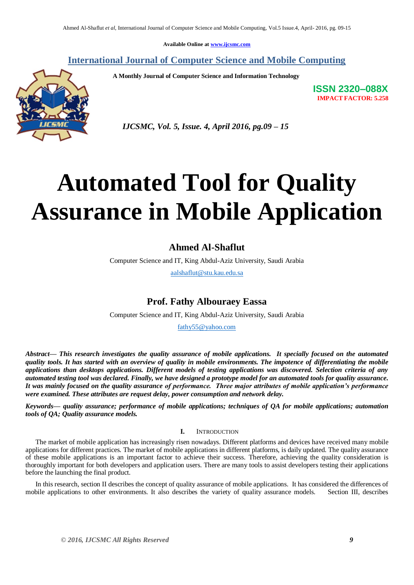**Available Online at www.ijcsmc.com**

**International Journal of Computer Science and Mobile Computing**

 **A Monthly Journal of Computer Science and Information Technology**

**ISSN 2320–088X IMPACT FACTOR: 5.258**



 *IJCSMC, Vol. 5, Issue. 4, April 2016, pg.09 – 15*

# **Automated Tool for Quality Assurance in Mobile Application**

# **Ahmed Al-Shaflut**

Computer Science and IT, King Abdul-Aziz University, Saudi Arabia

aalshaflut@stu.kau.edu.sa

# **Prof. Fathy Albouraey Eassa**

Computer Science and IT, King Abdul-Aziz University, Saudi Arabia

fathy55@yahoo.com

*Abstract— This research investigates the quality assurance of mobile applications. It specially focused on the automated quality tools. It has started with an overview of quality in mobile environments. The impotence of differentiating the mobile applications than desktops applications. Different models of testing applications was discovered. Selection criteria of any automated testing tool was declared. Finally, we have designed a prototype model for an automated tools for quality assurance. It was mainly focused on the quality assurance of performance. Three major attributes of mobile application's performance were examined. These attributes are request delay, power consumption and network delay.*

*Keywords— quality assurance; performance of mobile applications; techniques of QA for mobile applications; automation tools of QA; Quality assurance models.*

## **I.** INTRODUCTION

The market of mobile application has increasingly risen nowadays. Different platforms and devices have received many mobile applications for different practices. The market of mobile applications in different platforms, is daily updated. The quality assurance of these mobile applications is an important factor to achieve their success. Therefore, achieving the quality consideration is thoroughly important for both developers and application users. There are many tools to assist developers testing their applications before the launching the final product.

In this research, section II describes the concept of quality assurance of mobile applications. It has considered the differences of mobile applications to other environments. It also describes the variety of quality assurance models. Section III, describes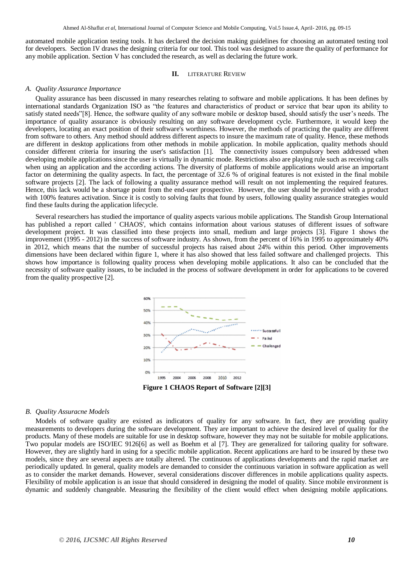automated mobile application testing tools. It has declared the decision making guidelines for choosing an automated testing tool for developers. Section IV draws the designing criteria for our tool. This tool was designed to assure the quality of performance for any mobile application. Section V has concluded the research, as well as declaring the future work.

#### **II.** LITERATURE REVIEW

#### *A. Quality Assurance Importance*

Quality assurance has been discussed in many researches relating to software and mobile applications. It has been defines by international standards Organization ISO as "the features and characteristics of product or service that bear upon its ability to satisfy stated needs"[8]. Hence, the software quality of any software mobile or desktop based, should satisfy the user"s needs. The importance of quality assurance is obviously resulting on any software development cycle. Furthermore, it would keep the developers, locating an exact position of their software's worthiness. However, the methods of practicing the quality are different from software to others. Any method should address different aspects to insure the maximum rate of quality. Hence, these methods are different in desktop applications from other methods in mobile application. In mobile application, quality methods should consider different criteria for insuring the user's satisfaction [1]. The connectivity issues compulsory been addressed when developing mobile applications since the user is virtually in dynamic mode. Restrictions also are playing rule such as receiving calls when using an application and the according actions. The diversity of platforms of mobile applications would arise an important factor on determining the quality aspects. In fact, the percentage of 32.6 % of original features is not existed in the final mobile software projects [2]. The lack of following a quality assurance method will result on not implementing the required features. Hence, this lack would be a shortage point from the end-user prospective. However, the user should be provided with a product with 100% features activation. Since it is costly to solving faults that found by users, following quality assurance strategies would find these faults during the application lifecycle.

Several researchers has studied the importance of quality aspects various mobile applications. The Standish Group International has published a report called ' CHAOS', which contains information about various statuses of different issues of software development project. It was classified into these projects into small, medium and large projects [3]. Figure 1 shows the improvement (1995 - 2012) in the success of software industry. As shown, from the percent of 16% in 1995 to approximately 40% in 2012, which means that the number of successful projects has raised about 24% within this period. Other improvements dimensions have been declared within figure 1, where it has also showed that less failed software and challenged projects. This shows how importance is following quality process when developing mobile applications. It also can be concluded that the necessity of software quality issues, to be included in the process of software development in order for applications to be covered from the quality prospective [2].



#### *B. Quality Assuracne Models*

Models of software quality are existed as indicators of quality for any software. In fact, they are providing quality measurements to developers during the software development. They are important to achieve the desired level of quality for the products. Many of these models are suitable for use in desktop software, however they may not be suitable for mobile applications. Two popular models are ISO/IEC 9126[6] as well as Boehm et al [7]. They are generalized for tailoring quality for software. However, they are slightly hard in using for a specific mobile application. Recent applications are hard to be insured by these two models, since they are several aspects are totally altered. The continuous of applications developments and the rapid market are periodically updated. In general, quality models are demanded to consider the continuous variation in software application as well as to consider the market demands. However, several considerations discover differences in mobile applications quality aspects. Flexibility of mobile application is an issue that should considered in designing the model of quality. Since mobile environment is dynamic and suddenly changeable. Measuring the flexibility of the client would effect when designing mobile applications.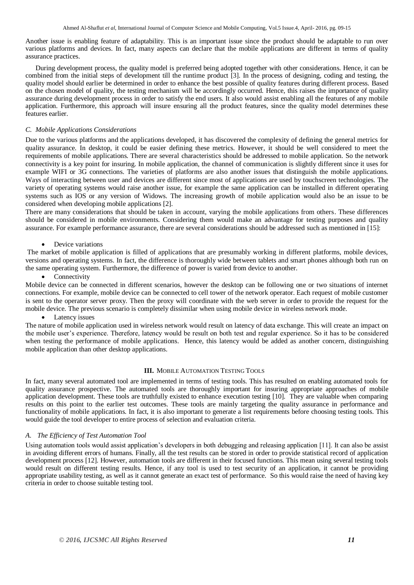Another issue is enabling feature of adaptability. This is an important issue since the product should be adaptable to run over various platforms and devices. In fact, many aspects can declare that the mobile applications are different in terms of quality assurance practices.

During development process, the quality model is preferred being adopted together with other considerations. Hence, it can be combined from the initial steps of development till the runtime product [3]. In the process of designing, coding and testing, the quality model should earlier be determined in order to enhance the best possible of quality features during different process. Based on the chosen model of quality, the testing mechanism will be accordingly occurred. Hence, this raises the importance of quality assurance during development process in order to satisfy the end users. It also would assist enabling all the features of any mobile application. Furthermore, this approach will insure ensuring all the product features, since the quality model determines these features earlier.

## *C. Mobile Applications Considerations*

Due to the various platforms and the applications developed, it has discovered the complexity of defining the general metrics for quality assurance. In desktop, it could be easier defining these metrics. However, it should be well considered to meet the requirements of mobile applications. There are several characteristics should be addressed to mobile application. So the network connectivity is a key point for insuring. In mobile application, the channel of communication is slightly different since it uses for example WIFI or 3G connections. The varieties of platforms are also another issues that distinguish the mobile applications. Ways of interacting between user and devices are different since most of applications are used by touchscreen technologies. The variety of operating systems would raise another issue, for example the same application can be installed in different operating systems such as IOS or any version of Widows. The increasing growth of mobile application would also be an issue to be considered when developing mobile applications [2].

There are many considerations that should be taken in account, varying the mobile applications from others. These differences should be considered in mobile environments. Considering them would make an advantage for testing purposes and quality assurance. For example performance assurance, there are several considerations should be addressed such as mentioned in [15]:

#### Device variations

The market of mobile application is filled of applications that are presumably working in different platforms, mobile devices, versions and operating systems. In fact, the difference is thoroughly wide between tablets and smart phones although both run on the same operating system. Furthermore, the difference of power is varied from device to another.

#### Connectivity

Mobile device can be connected in different scenarios, however the desktop can be following one or two situations of internet connections. For example, mobile device can be connected to cell tower of the network operator. Each request of mobile customer is sent to the operator server proxy. Then the proxy will coordinate with the web server in order to provide the request for the mobile device. The previous scenario is completely dissimilar when using mobile device in wireless network mode.

#### Latency issues

The nature of mobile application used in wireless network would result on latency of data exchange. This will create an impact on the mobile user"s experience. Therefore, latency would be result on both test and regular experience. So it has to be considered when testing the performance of mobile applications. Hence, this latency would be added as another concern, distinguishing mobile application than other desktop applications.

#### **III.** MOBILE AUTOMATION TESTING TOOLS

In fact, many several automated tool are implemented in terms of testing tools. This has resulted on enabling automated tools for quality assurance prospective. The automated tools are thoroughly important for insuring appropriate approaches of mobile application development. These tools are truthfully existed to enhance execution testing [10]. They are valuable when comparing results on this point to the earlier test outcomes. These tools are mainly targeting the quality assurance in performance and functionality of mobile applications. In fact, it is also important to generate a list requirements before choosing testing tools. This would guide the tool developer to entire process of selection and evaluation criteria.

#### *A. The Efficiency of Test Automation Tool*

Using automation tools would assist application"s developers in both debugging and releasing application [11]. It can also be assist in avoiding different errors of humans. Finally, all the test results can be stored in order to provide statistical record of application development process [12]. However, automation tools are different in their focused functions. This mean using several testing tools would result on different testing results. Hence, if any tool is used to test security of an application, it cannot be providing appropriate usability testing, as well as it cannot generate an exact test of performance. So this would raise the need of having key criteria in order to choose suitable testing tool.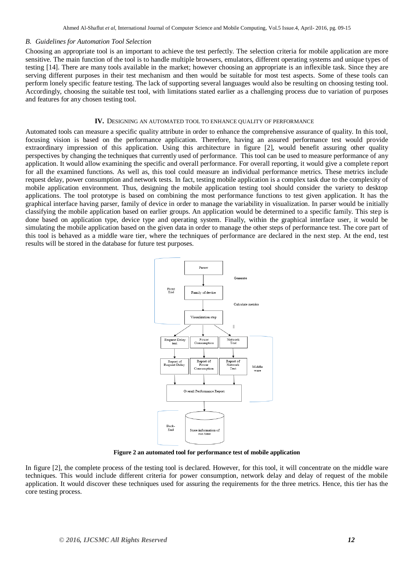#### *B. Guidelines for Automation Tool Selection*

Choosing an appropriate tool is an important to achieve the test perfectly. The selection criteria for mobile application are more sensitive. The main function of the tool is to handle multiple browsers, emulators, different operating systems and unique types of testing [14]. There are many tools available in the market; however choosing an appropriate is an inflexible task. Since they are serving different purposes in their test mechanism and then would be suitable for most test aspects. Some of these tools can perform lonely specific feature testing. The lack of supporting several languages would also be resulting on choosing testing tool. Accordingly, choosing the suitable test tool, with limitations stated earlier as a challenging process due to variation of purposes and features for any chosen testing tool.

#### **IV.** DESIGNING AN AUTOMATED TOOL TO ENHANCE QUALITY OF PERFORMANCE

Automated tools can measure a specific quality attribute in order to enhance the comprehensive assurance of quality. In this tool, focusing vision is based on the performance application. Therefore, having an assured performance test would provide extraordinary impression of this application. Using this architecture in figure [2], would benefit assuring other quality perspectives by changing the techniques that currently used of performance. This tool can be used to measure performance of any application. It would allow examining the specific and overall performance. For overall reporting, it would give a complete report for all the examined functions. As well as, this tool could measure an individual performance metrics. These metrics include request delay, power consumption and network tests. In fact, testing mobile application is a complex task due to the complexity of mobile application environment. Thus, designing the mobile application testing tool should consider the variety to desktop applications. The tool prototype is based on combining the most performance functions to test given application. It has the graphical interface having parser, family of device in order to manage the variability in visualization. In parser would be initially classifying the mobile application based on earlier groups. An application would be determined to a specific family. This step is done based on application type, device type and operating system. Finally, within the graphical interface user, it would be simulating the mobile application based on the given data in order to manage the other steps of performance test. The core part of this tool is behaved as a middle ware tier, where the techniques of performance are declared in the next step. At the end, test results will be stored in the database for future test purposes.



**Figure 2 an automated tool for performance test of mobile application**

In figure [2], the complete process of the testing tool is declared. However, for this tool, it will concentrate on the middle ware techniques. This would include different criteria for power consumption, network delay and delay of request of the mobile application. It would discover these techniques used for assuring the requirements for the three metrics. Hence, this tier has the core testing process.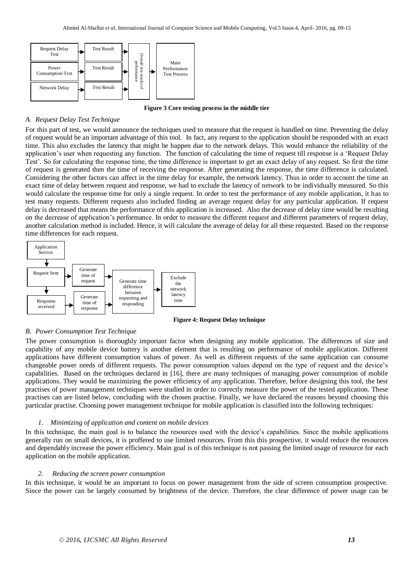

**Figure 3 Core testing process in the middle tier**

#### *A. Request Delay Test Technique*

For this part of test, we would announce the techniques used to measure that the request is handled on time. Preventing the delay of request would be an important advantage of this tool. In fact, any request to the application should be responded with an exact time. This also excludes the latency that might be happen due to the network delays. This would enhance the reliability of the application"s user when requesting any function. The function of calculating the time of request till response is a "Request Delay Test". So for calculating the response time, the time difference is important to get an exact delay of any request. So first the time of request is generated then the time of receiving the response. After generating the response, the time difference is calculated. Considering the other factors can affect in the time delay for example, the network latency. Thus in order to account the time an exact time of delay between request and response, we had to exclude the latency of network to be individually measured. So this would calculate the response time for only a single request. In order to test the performance of any mobile application, it has to test many requests. Different requests also included finding an average request delay for any particular application. If request delay is decreased that means the performance of this application is increased. Also the decrease of delay time would be resulting on the decrease of application"s performance. In order to measure the different request and different parameters of request delay, another calculation method is included. Hence, it will calculate the average of delay for all these requested. Based on the response time differences for each request.



 **Figure 4: Request Delay technique** 

#### *B. Power Consumption Test Technique*

The power consumption is thoroughly important factor when designing any mobile application. The differences of size and capability of any mobile device battery is another element that is resulting on performance of mobile application. Different applications have different consumption values of power. As well as different requests of the same application can consume changeable power needs of different requests. The power consumption values depend on the type of request and the device"s capabilities. Based on the techniques declared in [16], there are many techniques of managing power consumption of mobile applications. They would be maximizing the power efficiency of any application. Therefore, before designing this tool, the best practises of power management techniques were studied in order to correctly measure the power of the tested application. These practises can are listed below, concluding with the chosen practise. Finally, we have declared the reasons beyond choosing this particular practise. Choosing power management technique for mobile application is classified into the following techniques:

#### *1. Minimizing of application and content on mobile devices*

In this technique, the main goal is to balance the resources used with the device"s capabilities. Since the mobile applications generally run on small devices, it is proffered to use limited resources. From this this prospective, it would reduce the resources and dependably increase the power efficiency. Main goal is of this technique is not passing the limited usage of resource for each application on the mobile application.

#### *2. Reducing the screen power consumption*

In this technique, it would be an important to focus on power management from the side of screen consumption prospective. Since the power can be largely consumed by brightness of the device. Therefore, the clear difference of power usage can be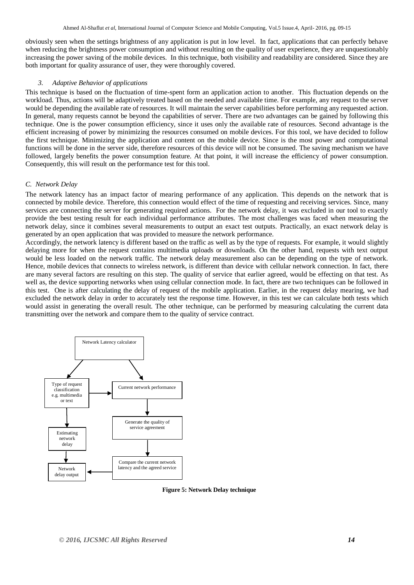obviously seen when the settings brightness of any application is put in low level. In fact, applications that can perfectly behave when reducing the brightness power consumption and without resulting on the quality of user experience, they are unquestionably increasing the power saving of the mobile devices. In this technique, both visibility and readability are considered. Since they are both important for quality assurance of user, they were thoroughly covered.

#### *3. Adaptive Behavior of applications*

This technique is based on the fluctuation of time-spent form an application action to another. This fluctuation depends on the workload. Thus, actions will be adaptively treated based on the needed and available time. For example, any request to the server would be depending the available rate of resources. It will maintain the server capabilities before performing any requested action. In general, many requests cannot be beyond the capabilities of server. There are two advantages can be gained by following this technique. One is the power consumption efficiency, since it uses only the available rate of resources. Second advantage is the efficient increasing of power by minimizing the resources consumed on mobile devices. For this tool, we have decided to follow the first technique. Minimizing the application and content on the mobile device. Since is the most power and computational functions will be done in the server side, therefore resources of this device will not be consumed. The saving mechanism we have followed, largely benefits the power consumption feature. At that point, it will increase the efficiency of power consumption. Consequently, this will result on the performance test for this tool.

## *C. Network Delay*

The network latency has an impact factor of mearing performance of any application. This depends on the network that is connected by mobile device. Therefore, this connection would effect of the time of requesting and receiving services. Since, many services are connecting the server for generating required actions. For the network delay, it was excluded in our tool to exactly provide the best testing result for each individual performance attributes. The most challenges was faced when measuring the network delay, since it combines several measurements to output an exact test outputs. Practically, an exact network delay is generated by an open application that was provided to measure the network performance.

Accordingly, the network latency is different based on the traffic as well as by the type of requests. For example, it would slightly delaying more for when the request contains multimedia uploads or downloads. On the other hand, requests with text output would be less loaded on the network traffic. The network delay measurement also can be depending on the type of network. Hence, mobile devices that connects to wireless network, is different than device with cellular network connection. In fact, there are many several factors are resulting on this step. The quality of service that earlier agreed, would be effecting on that test. As well as, the device supporting networks when using cellular connection mode. In fact, there are two techniques can be followed in this test. One is after calculating the delay of request of the mobile application. Earlier, in the request delay mearing, we had excluded the network delay in order to accurately test the response time. However, in this test we can calculate both tests which would assist in generating the overall result. The other technique, can be performed by measuring calculating the current data transmitting over the network and compare them to the quality of service contract.



 **Figure 5: Network Delay technique**